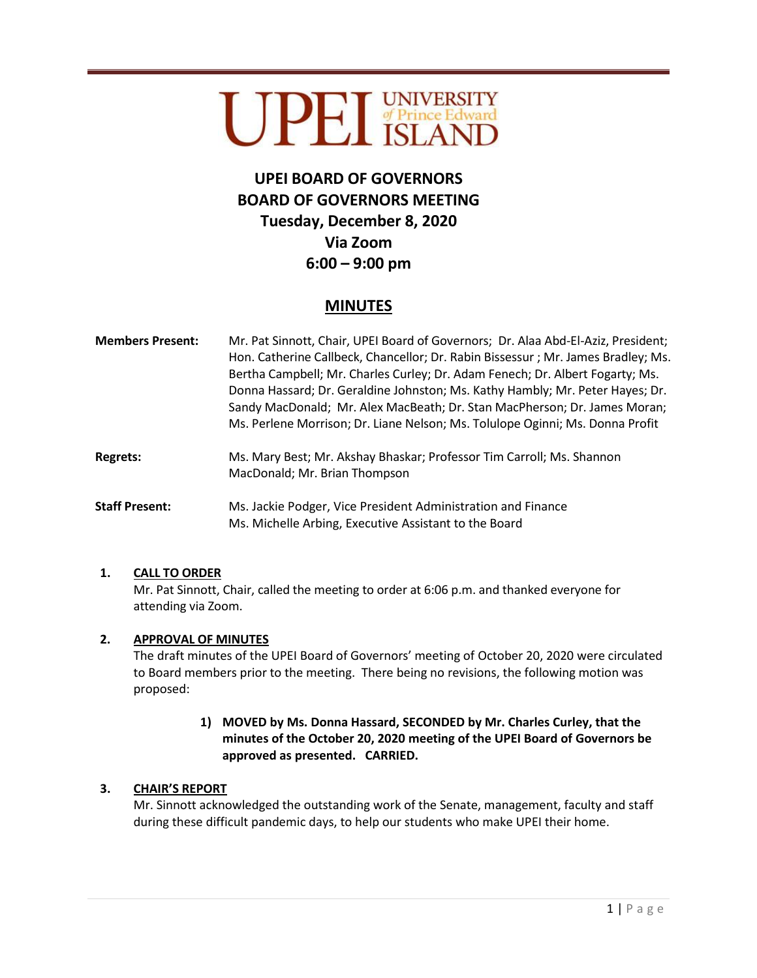# UPET UNIVERSITY

# **UPEI BOARD OF GOVERNORS BOARD OF GOVERNORS MEETING Tuesday, December 8, 2020 Via Zoom 6:00 – 9:00 pm**

# **MINUTES**

**Members Present:** Mr. Pat Sinnott, Chair, UPEI Board of Governors; Dr. Alaa Abd-El-Aziz, President; Hon. Catherine Callbeck, Chancellor; Dr. Rabin Bissessur ; Mr. James Bradley; Ms. Bertha Campbell; Mr. Charles Curley; Dr. Adam Fenech; Dr. Albert Fogarty; Ms. Donna Hassard; Dr. Geraldine Johnston; Ms. Kathy Hambly; Mr. Peter Hayes; Dr. Sandy MacDonald; Mr. Alex MacBeath; Dr. Stan MacPherson; Dr. James Moran; Ms. Perlene Morrison; Dr. Liane Nelson; Ms. Tolulope Oginni; Ms. Donna Profit **Regrets:** Ms. Mary Best; Mr. Akshay Bhaskar; Professor Tim Carroll; Ms. Shannon MacDonald; Mr. Brian Thompson **Staff Present:** Ms. Jackie Podger, Vice President Administration and Finance Ms. Michelle Arbing, Executive Assistant to the Board

# **1. CALL TO ORDER**

Mr. Pat Sinnott, Chair, called the meeting to order at 6:06 p.m. and thanked everyone for attending via Zoom.

# **2. APPROVAL OF MINUTES**

The draft minutes of the UPEI Board of Governors' meeting of October 20, 2020 were circulated to Board members prior to the meeting. There being no revisions, the following motion was proposed:

### **1) MOVED by Ms. Donna Hassard, SECONDED by Mr. Charles Curley, that the minutes of the October 20, 2020 meeting of the UPEI Board of Governors be approved as presented. CARRIED.**

# **3. CHAIR'S REPORT**

Mr. Sinnott acknowledged the outstanding work of the Senate, management, faculty and staff during these difficult pandemic days, to help our students who make UPEI their home.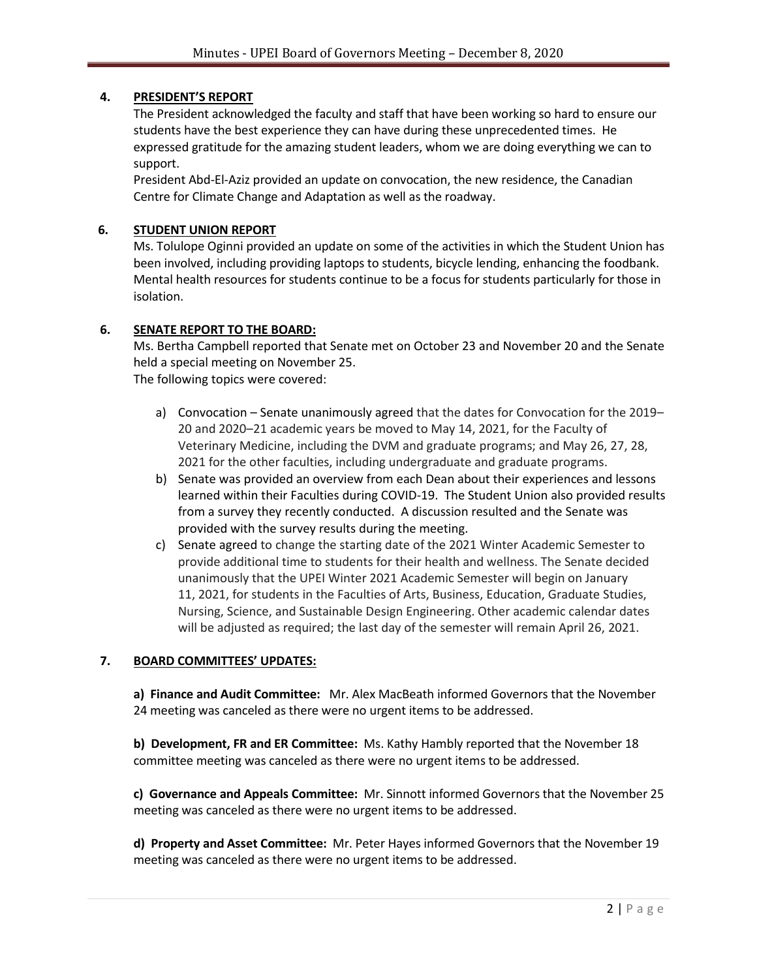#### **4. PRESIDENT'S REPORT**

The President acknowledged the faculty and staff that have been working so hard to ensure our students have the best experience they can have during these unprecedented times. He expressed gratitude for the amazing student leaders, whom we are doing everything we can to support.

President Abd-El-Aziz provided an update on convocation, the new residence, the Canadian Centre for Climate Change and Adaptation as well as the roadway.

#### **6. STUDENT UNION REPORT**

Ms. Tolulope Oginni provided an update on some of the activities in which the Student Union has been involved, including providing laptops to students, bicycle lending, enhancing the foodbank. Mental health resources for students continue to be a focus for students particularly for those in isolation.

#### **6. SENATE REPORT TO THE BOARD:**

Ms. Bertha Campbell reported that Senate met on October 23 and November 20 and the Senate held a special meeting on November 25.

The following topics were covered:

- a) Convocation Senate unanimously agreed that the dates for Convocation for the 2019– 20 and 2020–21 academic years be moved to May 14, 2021, for the Faculty of Veterinary Medicine, including the DVM and graduate programs; and May 26, 27, 28, 2021 for the other faculties, including undergraduate and graduate programs.
- b) Senate was provided an overview from each Dean about their experiences and lessons learned within their Faculties during COVID-19. The Student Union also provided results from a survey they recently conducted. A discussion resulted and the Senate was provided with the survey results during the meeting.
- c) Senate agreed to change the starting date of the 2021 Winter Academic Semester to provide additional time to students for their health and wellness. The Senate decided unanimously that the UPEI Winter 2021 Academic Semester will begin on January 11, 2021, for students in the Faculties of Arts, Business, Education, Graduate Studies, Nursing, Science, and Sustainable Design Engineering. Other academic calendar dates will be adjusted as required; the last day of the semester will remain April 26, 2021.

#### **7. BOARD COMMITTEES' UPDATES:**

**a) Finance and Audit Committee:** Mr. Alex MacBeath informed Governors that the November 24 meeting was canceled as there were no urgent items to be addressed.

**b) Development, FR and ER Committee:** Ms. Kathy Hambly reported that the November 18 committee meeting was canceled as there were no urgent items to be addressed.

**c) Governance and Appeals Committee:** Mr. Sinnott informed Governors that the November 25 meeting was canceled as there were no urgent items to be addressed.

**d) Property and Asset Committee:** Mr. Peter Hayes informed Governors that the November 19 meeting was canceled as there were no urgent items to be addressed.